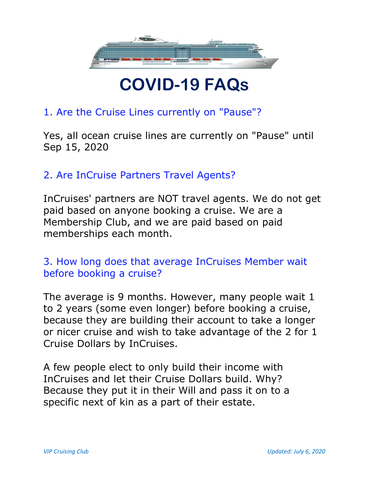

## COVID-19 FAQs

## 1. Are the Cruise Lines currently on "Pause"?

Yes, all ocean cruise lines are currently on "Pause" until Sep 15, 2020

## 2. Are InCruise Partners Travel Agents?

InCruises' partners are NOT travel agents. We do not get paid based on anyone booking a cruise. We are a Membership Club, and we are paid based on paid memberships each month.

3. How long does that average InCruises Member wait before booking a cruise?

The average is 9 months. However, many people wait 1 to 2 years (some even longer) before booking a cruise, because they are building their account to take a longer or nicer cruise and wish to take advantage of the 2 for 1 Cruise Dollars by InCruises.

A few people elect to only build their income with InCruises and let their Cruise Dollars build. Why? Because they put it in their Will and pass it on to a specific next of kin as a part of their estate.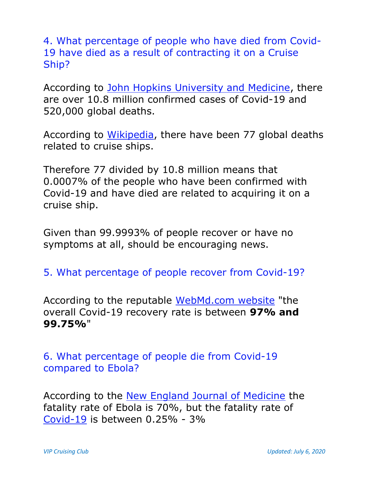4. What percentage of people who have died from Covid-19 have died as a result of contracting it on a Cruise Ship?

According to John Hopkins University and Medicine, there are over 10.8 million confirmed cases of Covid-19 and 520,000 global deaths.

According to Wikipedia, there have been 77 global deaths related to cruise ships.

Therefore 77 divided by 10.8 million means that 0.0007% of the people who have been confirmed with Covid-19 and have died are related to acquiring it on a cruise ship.

Given than 99.9993% of people recover or have no symptoms at all, should be encouraging news.

5. What percentage of people recover from Covid-19?

According to the reputable WebMd.com website "the overall Covid-19 recovery rate is between 97% and 99.75%"

6. What percentage of people die from Covid-19 compared to Ebola?

According to the New England Journal of Medicine the fatality rate of Ebola is 70%, but the fatality rate of Covid-19 is between 0.25% - 3%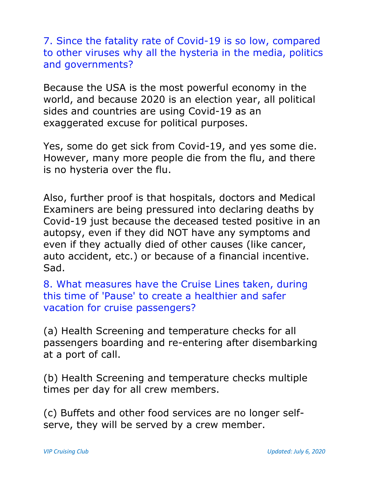7. Since the fatality rate of Covid-19 is so low, compared to other viruses why all the hysteria in the media, politics and governments?

Because the USA is the most powerful economy in the world, and because 2020 is an election year, all political sides and countries are using Covid-19 as an exaggerated excuse for political purposes.

Yes, some do get sick from Covid-19, and yes some die. However, many more people die from the flu, and there is no hysteria over the flu.

Also, further proof is that hospitals, doctors and Medical Examiners are being pressured into declaring deaths by Covid-19 just because the deceased tested positive in an autopsy, even if they did NOT have any symptoms and even if they actually died of other causes (like cancer, auto accident, etc.) or because of a financial incentive. Sad.

8. What measures have the Cruise Lines taken, during this time of 'Pause' to create a healthier and safer vacation for cruise passengers?

(a) Health Screening and temperature checks for all passengers boarding and re-entering after disembarking at a port of call.

(b) Health Screening and temperature checks multiple times per day for all crew members.

(c) Buffets and other food services are no longer selfserve, they will be served by a crew member.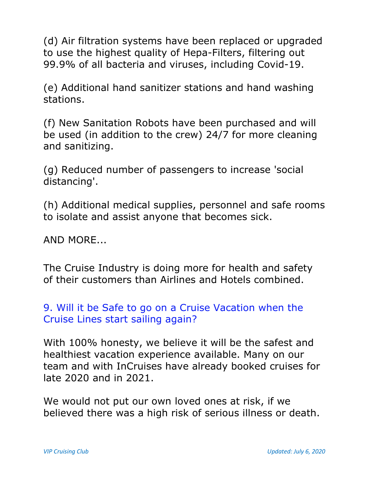(d) Air filtration systems have been replaced or upgraded to use the highest quality of Hepa-Filters, filtering out 99.9% of all bacteria and viruses, including Covid-19.

(e) Additional hand sanitizer stations and hand washing stations.

(f) New Sanitation Robots have been purchased and will be used (in addition to the crew) 24/7 for more cleaning and sanitizing.

(g) Reduced number of passengers to increase 'social distancing'.

(h) Additional medical supplies, personnel and safe rooms to isolate and assist anyone that becomes sick.

AND MORE...

The Cruise Industry is doing more for health and safety of their customers than Airlines and Hotels combined.

## 9. Will it be Safe to go on a Cruise Vacation when the Cruise Lines start sailing again?

With 100% honesty, we believe it will be the safest and healthiest vacation experience available. Many on our team and with InCruises have already booked cruises for late 2020 and in 2021.

We would not put our own loved ones at risk, if we believed there was a high risk of serious illness or death.